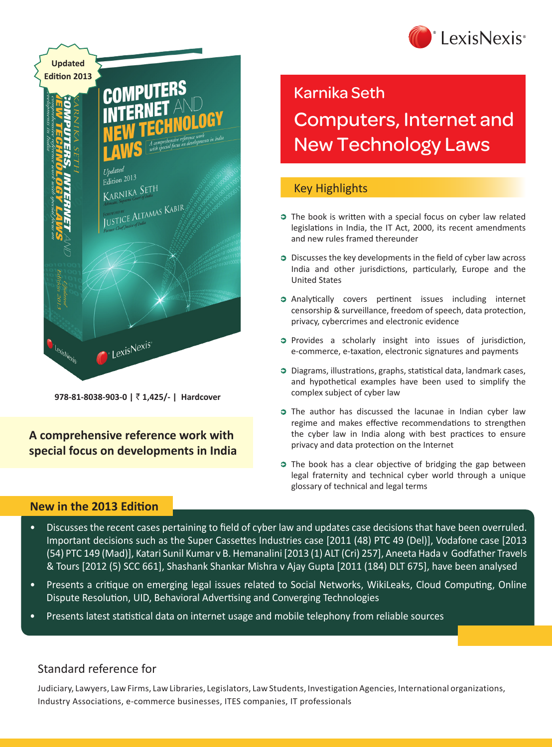



**978-81-8038-903-0 |** ` **1,425/- | Hardcover**

**A comprehensive reference work with special focus on developments in India** Karnika Seth

# Computers, Internet and New Technology Laws

# Key Highlights

- **C** The book is written with a special focus on cyber law related legislations in India, the IT Act, 2000, its recent amendments and new rules framed thereunder
- **Discusses the key developments in the field of cyber law across** India and other jurisdictions, particularly, Europe and the United States
- Analytically covers pertinent issues including internet censorship & surveillance, freedom of speech, data protection, privacy, cybercrimes and electronic evidence
- **Provides a scholarly insight into issues of jurisdiction,** e-commerce, e-taxation, electronic signatures and payments
- Diagrams, illustrations, graphs, statistical data, landmark cases, and hypothetical examples have been used to simplify the complex subject of cyber law
- **C** The author has discussed the lacunae in Indian cyber law regime and makes effective recommendations to strengthen the cyber law in India along with best practices to ensure privacy and data protection on the Internet
- **C** The book has a clear objective of bridging the gap between legal fraternity and technical cyber world through a unique glossary of technical and legal terms

# **New in the 2013 Edition**

- Discusses the recent cases pertaining to field of cyber law and updates case decisions that have been overruled. Important decisions such as the Super Cassettes Industries case [2011 (48) PTC 49 (Del)], Vodafone case [2013 (54) PTC 149 (Mad)], Katari Sunil Kumar v B. Hemanalini [2013 (1) ALT (Cri) 257], Aneeta Hada v Godfather Travels & Tours [2012 (5) SCC 661], Shashank Shankar Mishra v Ajay Gupta [2011 (184) DLT 675], have been analysed
- Presents a critique on emerging legal issues related to Social Networks, WikiLeaks, Cloud Computing, Online Dispute Resolution, UID, Behavioral Advertising and Converging Technologies
- Presents latest statistical data on internet usage and mobile telephony from reliable sources

# Standard reference for

Judiciary, Lawyers, Law Firms, Law Libraries, Legislators, Law Students, Investigation Agencies, International organizations, Industry Associations, e-commerce businesses, ITES companies, IT professionals